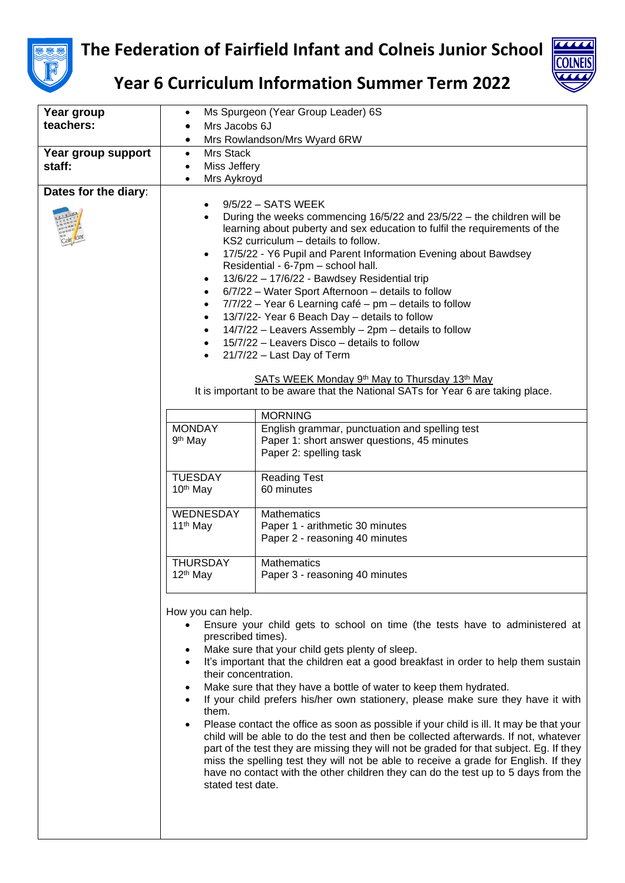



**Year 6 Curriculum Information Summer Term 2022**

| Year group           | ٠                                                                               | Ms Spurgeon (Year Group Leader) 6S                                                                                                     |
|----------------------|---------------------------------------------------------------------------------|----------------------------------------------------------------------------------------------------------------------------------------|
| teachers:            | Mrs Jacobs 6J                                                                   |                                                                                                                                        |
|                      | $\bullet$                                                                       | Mrs Rowlandson/Mrs Wyard 6RW                                                                                                           |
| Year group support   | Mrs Stack<br>$\bullet$                                                          |                                                                                                                                        |
| staff:               | Miss Jeffery<br>$\bullet$                                                       |                                                                                                                                        |
|                      | Mrs Aykroyd<br>$\bullet$                                                        |                                                                                                                                        |
| Dates for the diary: |                                                                                 |                                                                                                                                        |
|                      |                                                                                 | 9/5/22 - SATS WEEK                                                                                                                     |
|                      |                                                                                 | During the weeks commencing 16/5/22 and 23/5/22 - the children will be                                                                 |
|                      |                                                                                 | learning about puberty and sex education to fulfil the requirements of the                                                             |
|                      |                                                                                 | KS2 curriculum - details to follow.                                                                                                    |
|                      | $\bullet$                                                                       | 17/5/22 - Y6 Pupil and Parent Information Evening about Bawdsey                                                                        |
|                      |                                                                                 | Residential - 6-7pm - school hall.                                                                                                     |
|                      | ٠                                                                               | 13/6/22 - 17/6/22 - Bawdsey Residential trip                                                                                           |
|                      | ٠                                                                               | 6/7/22 - Water Sport Afternoon - details to follow                                                                                     |
|                      | $\bullet$                                                                       | 7/7/22 - Year 6 Learning café - pm - details to follow                                                                                 |
|                      |                                                                                 | 13/7/22- Year 6 Beach Day - details to follow                                                                                          |
|                      | $\bullet$                                                                       | 14/7/22 - Leavers Assembly - 2pm - details to follow                                                                                   |
|                      | $\bullet$                                                                       | 15/7/22 - Leavers Disco - details to follow                                                                                            |
|                      | $\bullet$                                                                       | 21/7/22 - Last Day of Term                                                                                                             |
|                      |                                                                                 |                                                                                                                                        |
|                      |                                                                                 | SATs WEEK Monday 9 <sup>th</sup> May to Thursday 13 <sup>th</sup> May                                                                  |
|                      | It is important to be aware that the National SATs for Year 6 are taking place. |                                                                                                                                        |
|                      |                                                                                 |                                                                                                                                        |
|                      |                                                                                 | <b>MORNING</b>                                                                                                                         |
|                      | <b>MONDAY</b>                                                                   | English grammar, punctuation and spelling test                                                                                         |
|                      | 9 <sup>th</sup> May                                                             | Paper 1: short answer questions, 45 minutes                                                                                            |
|                      |                                                                                 | Paper 2: spelling task                                                                                                                 |
|                      | <b>TUESDAY</b>                                                                  | <b>Reading Test</b>                                                                                                                    |
|                      | 10 <sup>th</sup> May                                                            | 60 minutes                                                                                                                             |
|                      |                                                                                 |                                                                                                                                        |
|                      | WEDNESDAY                                                                       | <b>Mathematics</b>                                                                                                                     |
|                      | 11 <sup>th</sup> May                                                            | Paper 1 - arithmetic 30 minutes                                                                                                        |
|                      |                                                                                 | Paper 2 - reasoning 40 minutes                                                                                                         |
|                      |                                                                                 |                                                                                                                                        |
|                      | <b>THURSDAY</b>                                                                 | <b>Mathematics</b>                                                                                                                     |
|                      | 12 <sup>th</sup> May                                                            | Paper 3 - reasoning 40 minutes                                                                                                         |
|                      |                                                                                 |                                                                                                                                        |
|                      |                                                                                 |                                                                                                                                        |
|                      | How you can help.                                                               |                                                                                                                                        |
|                      | $\bullet$<br>prescribed times).                                                 | Ensure your child gets to school on time (the tests have to administered at                                                            |
|                      |                                                                                 |                                                                                                                                        |
|                      | $\bullet$<br>$\bullet$                                                          | Make sure that your child gets plenty of sleep.<br>It's important that the children eat a good breakfast in order to help them sustain |
|                      | their concentration.                                                            |                                                                                                                                        |
|                      | $\bullet$                                                                       | Make sure that they have a bottle of water to keep them hydrated.                                                                      |
|                      | $\bullet$                                                                       | If your child prefers his/her own stationery, please make sure they have it with                                                       |
|                      | them.                                                                           |                                                                                                                                        |
|                      | $\bullet$                                                                       | Please contact the office as soon as possible if your child is ill. It may be that your                                                |
|                      |                                                                                 | child will be able to do the test and then be collected afterwards. If not, whatever                                                   |
|                      |                                                                                 | part of the test they are missing they will not be graded for that subject. Eg. If they                                                |
|                      |                                                                                 | miss the spelling test they will not be able to receive a grade for English. If they                                                   |
|                      |                                                                                 | have no contact with the other children they can do the test up to 5 days from the                                                     |
|                      | stated test date.                                                               |                                                                                                                                        |
|                      |                                                                                 |                                                                                                                                        |
|                      |                                                                                 |                                                                                                                                        |
|                      |                                                                                 |                                                                                                                                        |
|                      |                                                                                 |                                                                                                                                        |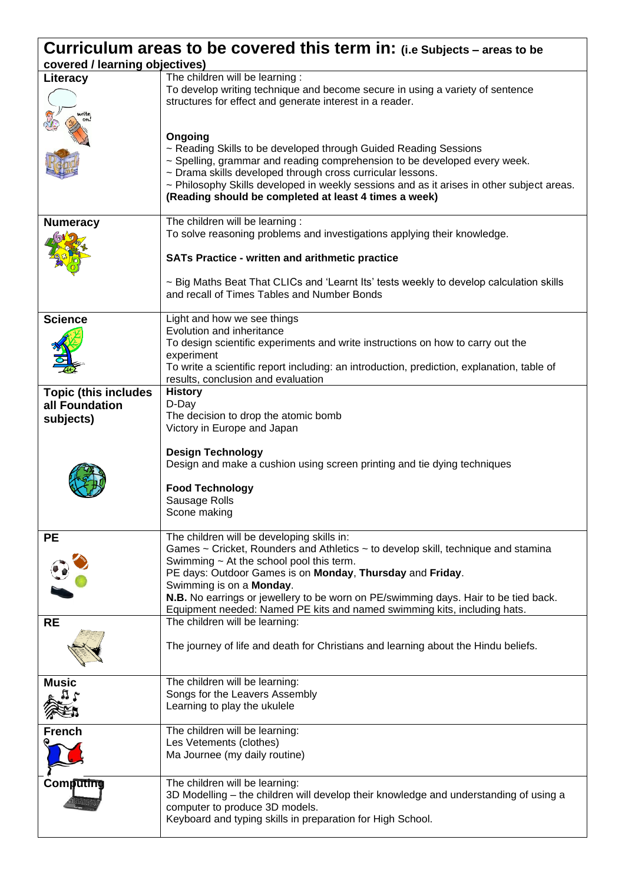| <b>Curriculum areas to be covered this term in:</b> (i.e Subjects – areas to be |                                                                                                                                                                                                                                                                                                                                                                                                                                              |  |  |
|---------------------------------------------------------------------------------|----------------------------------------------------------------------------------------------------------------------------------------------------------------------------------------------------------------------------------------------------------------------------------------------------------------------------------------------------------------------------------------------------------------------------------------------|--|--|
| covered / learning objectives)                                                  |                                                                                                                                                                                                                                                                                                                                                                                                                                              |  |  |
| Literacy                                                                        | The children will be learning :<br>To develop writing technique and become secure in using a variety of sentence<br>structures for effect and generate interest in a reader.                                                                                                                                                                                                                                                                 |  |  |
|                                                                                 | Ongoing<br>~ Reading Skills to be developed through Guided Reading Sessions<br>~ Spelling, grammar and reading comprehension to be developed every week.<br>~ Drama skills developed through cross curricular lessons.<br>~ Philosophy Skills developed in weekly sessions and as it arises in other subject areas.<br>(Reading should be completed at least 4 times a week)                                                                 |  |  |
| <b>Numeracy</b>                                                                 | The children will be learning :<br>To solve reasoning problems and investigations applying their knowledge.<br><b>SATs Practice - written and arithmetic practice</b><br>~ Big Maths Beat That CLICs and 'Learnt Its' tests weekly to develop calculation skills<br>and recall of Times Tables and Number Bonds                                                                                                                              |  |  |
| <b>Science</b>                                                                  | Light and how we see things<br>Evolution and inheritance<br>To design scientific experiments and write instructions on how to carry out the<br>experiment<br>To write a scientific report including: an introduction, prediction, explanation, table of<br>results, conclusion and evaluation                                                                                                                                                |  |  |
| <b>Topic (this includes</b><br>all Foundation<br>subjects)                      | <b>History</b><br>D-Day<br>The decision to drop the atomic bomb<br>Victory in Europe and Japan<br><b>Design Technology</b><br>Design and make a cushion using screen printing and tie dying techniques<br><b>Food Technology</b><br>Sausage Rolls<br>Scone making                                                                                                                                                                            |  |  |
| <b>PE</b>                                                                       | The children will be developing skills in:<br>Games ~ Cricket, Rounders and Athletics ~ to develop skill, technique and stamina<br>Swimming $\sim$ At the school pool this term.<br>PE days: Outdoor Games is on Monday, Thursday and Friday.<br>Swimming is on a Monday.<br>N.B. No earrings or jewellery to be worn on PE/swimming days. Hair to be tied back.<br>Equipment needed: Named PE kits and named swimming kits, including hats. |  |  |
| <b>RE</b>                                                                       | The children will be learning:<br>The journey of life and death for Christians and learning about the Hindu beliefs.                                                                                                                                                                                                                                                                                                                         |  |  |
| <b>Music</b>                                                                    | The children will be learning:<br>Songs for the Leavers Assembly<br>Learning to play the ukulele                                                                                                                                                                                                                                                                                                                                             |  |  |
| French                                                                          | The children will be learning:<br>Les Vetements (clothes)<br>Ma Journee (my daily routine)                                                                                                                                                                                                                                                                                                                                                   |  |  |
| Computing                                                                       | The children will be learning:<br>3D Modelling - the children will develop their knowledge and understanding of using a<br>computer to produce 3D models.<br>Keyboard and typing skills in preparation for High School.                                                                                                                                                                                                                      |  |  |